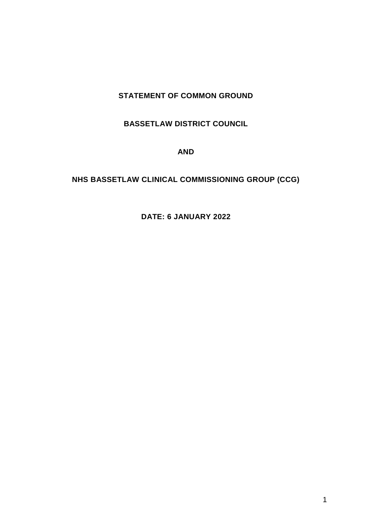# **STATEMENT OF COMMON GROUND**

## **BASSETLAW DISTRICT COUNCIL**

#### **AND**

# **NHS BASSETLAW CLINICAL COMMISSIONING GROUP (CCG)**

# **DATE: 6 JANUARY 2022**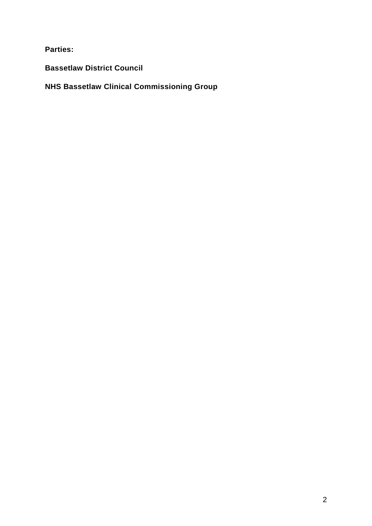**Parties:** 

**Bassetlaw District Council**

**NHS Bassetlaw Clinical Commissioning Group**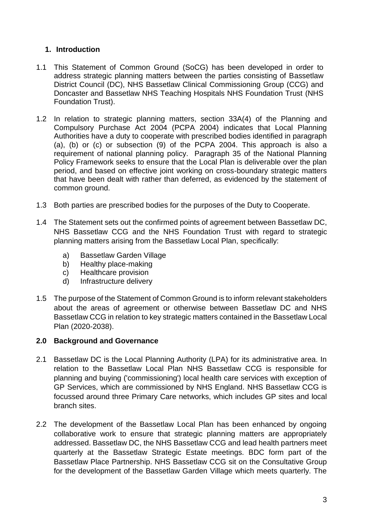# **1. Introduction**

- 1.1 This Statement of Common Ground (SoCG) has been developed in order to address strategic planning matters between the parties consisting of Bassetlaw District Council (DC), NHS Bassetlaw Clinical Commissioning Group (CCG) and Doncaster and Bassetlaw NHS Teaching Hospitals NHS Foundation Trust (NHS Foundation Trust).
- 1.2 In relation to strategic planning matters, section 33A(4) of the Planning and Compulsory Purchase Act 2004 (PCPA 2004) indicates that Local Planning Authorities have a duty to cooperate with prescribed bodies identified in paragraph (a), (b) or (c) or subsection (9) of the PCPA 2004. This approach is also a requirement of national planning policy. Paragraph 35 of the National Planning Policy Framework seeks to ensure that the Local Plan is deliverable over the plan period, and based on effective joint working on cross-boundary strategic matters that have been dealt with rather than deferred, as evidenced by the statement of common ground.
- 1.3 Both parties are prescribed bodies for the purposes of the Duty to Cooperate.
- 1.4 The Statement sets out the confirmed points of agreement between Bassetlaw DC, NHS Bassetlaw CCG and the NHS Foundation Trust with regard to strategic planning matters arising from the Bassetlaw Local Plan, specifically:
	- a) Bassetlaw Garden Village
	- b) Healthy place-making
	- c) Healthcare provision
	- d) Infrastructure delivery
- 1.5 The purpose of the Statement of Common Ground is to inform relevant stakeholders about the areas of agreement or otherwise between Bassetlaw DC and NHS Bassetlaw CCG in relation to key strategic matters contained in the Bassetlaw Local Plan (2020-2038).

#### **2.0 Background and Governance**

- 2.1 Bassetlaw DC is the Local Planning Authority (LPA) for its administrative area. In relation to the Bassetlaw Local Plan NHS Bassetlaw CCG is responsible for planning and buying ('commissioning') local health care services with exception of GP Services, which are commissioned by NHS England. NHS Bassetlaw CCG is focussed around three Primary Care networks, which includes GP sites and local branch sites.
- 2.2 The development of the Bassetlaw Local Plan has been enhanced by ongoing collaborative work to ensure that strategic planning matters are appropriately addressed. Bassetlaw DC, the NHS Bassetlaw CCG and lead health partners meet quarterly at the Bassetlaw Strategic Estate meetings. BDC form part of the Bassetlaw Place Partnership. NHS Bassetlaw CCG sit on the Consultative Group for the development of the Bassetlaw Garden Village which meets quarterly. The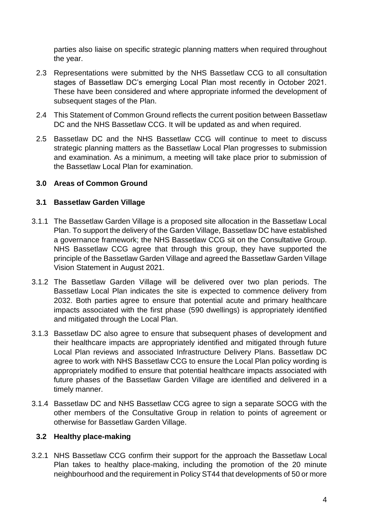parties also liaise on specific strategic planning matters when required throughout the year.

- 2.3 Representations were submitted by the NHS Bassetlaw CCG to all consultation stages of Bassetlaw DC's emerging Local Plan most recently in October 2021. These have been considered and where appropriate informed the development of subsequent stages of the Plan.
- 2.4 This Statement of Common Ground reflects the current position between Bassetlaw DC and the NHS Bassetlaw CCG. It will be updated as and when required.
- 2.5 Bassetlaw DC and the NHS Bassetlaw CCG will continue to meet to discuss strategic planning matters as the Bassetlaw Local Plan progresses to submission and examination. As a minimum, a meeting will take place prior to submission of the Bassetlaw Local Plan for examination.

#### **3.0 Areas of Common Ground**

#### **3.1 Bassetlaw Garden Village**

- 3.1.1 The Bassetlaw Garden Village is a proposed site allocation in the Bassetlaw Local Plan. To support the delivery of the Garden Village, Bassetlaw DC have established a governance framework; the NHS Bassetlaw CCG sit on the Consultative Group. NHS Bassetlaw CCG agree that through this group, they have supported the principle of the Bassetlaw Garden Village and agreed the Bassetlaw Garden Village Vision Statement in August 2021.
- 3.1.2 The Bassetlaw Garden Village will be delivered over two plan periods. The Bassetlaw Local Plan indicates the site is expected to commence delivery from 2032. Both parties agree to ensure that potential acute and primary healthcare impacts associated with the first phase (590 dwellings) is appropriately identified and mitigated through the Local Plan.
- 3.1.3 Bassetlaw DC also agree to ensure that subsequent phases of development and their healthcare impacts are appropriately identified and mitigated through future Local Plan reviews and associated Infrastructure Delivery Plans. Bassetlaw DC agree to work with NHS Bassetlaw CCG to ensure the Local Plan policy wording is appropriately modified to ensure that potential healthcare impacts associated with future phases of the Bassetlaw Garden Village are identified and delivered in a timely manner.
- 3.1.4 Bassetlaw DC and NHS Bassetlaw CCG agree to sign a separate SOCG with the other members of the Consultative Group in relation to points of agreement or otherwise for Bassetlaw Garden Village.

#### **3.2 Healthy place-making**

3.2.1 NHS Bassetlaw CCG confirm their support for the approach the Bassetlaw Local Plan takes to healthy place-making, including the promotion of the 20 minute neighbourhood and the requirement in Policy ST44 that developments of 50 or more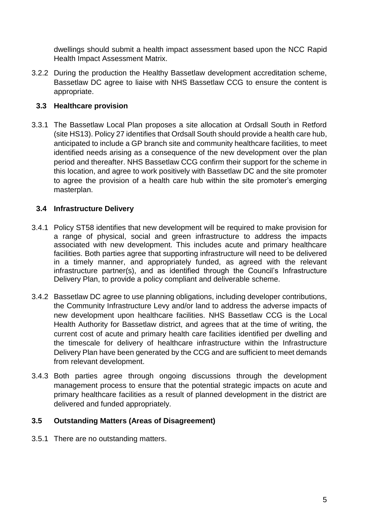dwellings should submit a health impact assessment based upon the NCC Rapid Health Impact Assessment Matrix.

3.2.2 During the production the Healthy Bassetlaw development accreditation scheme, Bassetlaw DC agree to liaise with NHS Bassetlaw CCG to ensure the content is appropriate.

# **3.3 Healthcare provision**

3.3.1 The Bassetlaw Local Plan proposes a site allocation at Ordsall South in Retford (site HS13). Policy 27 identifies that Ordsall South should provide a health care hub, anticipated to include a GP branch site and community healthcare facilities, to meet identified needs arising as a consequence of the new development over the plan period and thereafter. NHS Bassetlaw CCG confirm their support for the scheme in this location, and agree to work positively with Bassetlaw DC and the site promoter to agree the provision of a health care hub within the site promoter's emerging masterplan.

## **3.4 Infrastructure Delivery**

- 3.4.1 Policy ST58 identifies that new development will be required to make provision for a range of physical, social and green infrastructure to address the impacts associated with new development. This includes acute and primary healthcare facilities. Both parties agree that supporting infrastructure will need to be delivered in a timely manner, and appropriately funded, as agreed with the relevant infrastructure partner(s), and as identified through the Council's Infrastructure Delivery Plan, to provide a policy compliant and deliverable scheme.
- 3.4.2 Bassetlaw DC agree to use planning obligations, including developer contributions, the Community Infrastructure Levy and/or land to address the adverse impacts of new development upon healthcare facilities. NHS Bassetlaw CCG is the Local Health Authority for Bassetlaw district, and agrees that at the time of writing, the current cost of acute and primary health care facilities identified per dwelling and the timescale for delivery of healthcare infrastructure within the Infrastructure Delivery Plan have been generated by the CCG and are sufficient to meet demands from relevant development.
- 3.4.3 Both parties agree through ongoing discussions through the development management process to ensure that the potential strategic impacts on acute and primary healthcare facilities as a result of planned development in the district are delivered and funded appropriately.

# **3.5 Outstanding Matters (Areas of Disagreement)**

3.5.1 There are no outstanding matters.